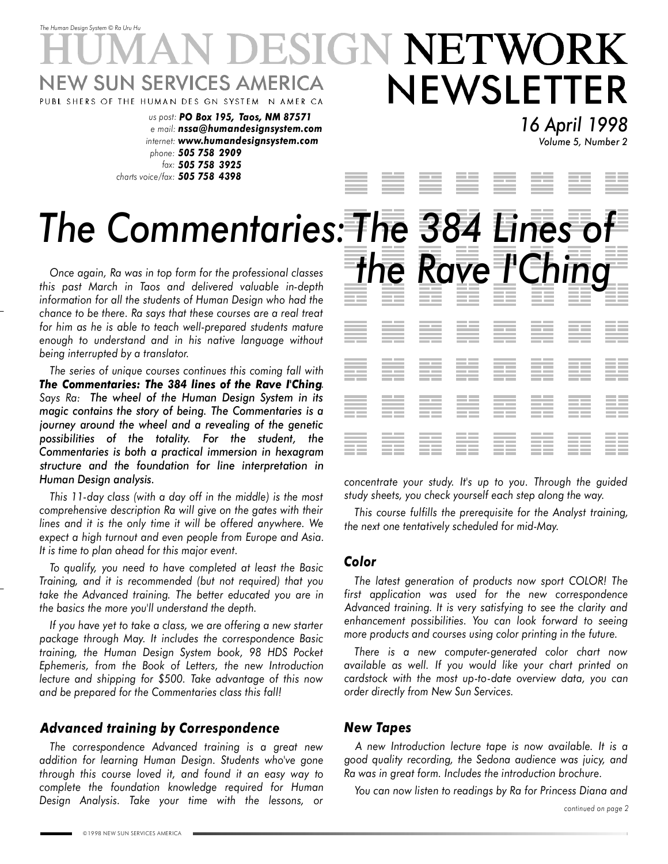## *The Human Design System* © *Ra Uru Hu* SIGN NETWORK W SUN SERVICES AMERICA NEWSLETTER PUBL SHERS OF THE HUMAN DES GN SYSTEM N AMER CA *us post: PO Box 195, Taos, NM 87571*

*e mail: nssa@humandesignsystem.com internet: www.humandesignsystem.com phone: 505 758 2909 fax: 505 758 3925 charts voice/fax: 505 758 4398*

# *The Commentaries: The 384 Lines of*

this past March in Taos and delivered valuable in-depth Once again, Ra was in top form for the professional classe *information for all the students of Human Design who had the chance to be there. Ra says that these courses are a real treat for him as he is able to teach well-prepared students mature enough to understand and in his native language without being interrupted by a translator.*

*The series of unique courses continues this coming fall with The Commentaries: The 384 lines of the Rave I'Ching. Says Ra: The wheel of the Human Design System in its magic contains the story of being. The Commentaries is a journey around the wheel and a revealing of the genetic possibilities of the totality. For the student, the Commentaries is both a practical immersion in hexagram structure and the foundation for line interpretation in Human Design analysis.*

*This 11-day class (with a day off in the middle) is the most comprehensive description Ra will give on the gates with their lines and it is the only time it will be offered anywhere. We expect a high turnout and even people from Europe and Asia. It is time to plan ahead for this major event.*

*To qualify, you need to have completed at least the Basic Training, and it is recommended (but not required) that you take the Advanced training. The better educated you are in the basics the more you'll understand the depth.*

*If you have yet to take a class, we are offering a new starter package through May. It includes the correspondence Basic training, the Human Design System book, 98 HDS Pocket Ephemeris, from the Book of Letters, the new Introduction lecture and shipping for \$500. Take advantage of this now and be prepared for the Commentaries class this fall!*

#### *Advanced training by Correspondence*

*The correspondence Advanced training is a great new addition for learning Human Design. Students who've gone through this course loved it, and found it an easy way to complete the foundation knowledge required for Human Design Analysis. Take your time with the lessons, or* *16 April 1998 Volume 5, Number 2*



*concentrate your study. It's up to you. Through the guided study sheets, you check yourself each step along the way.*

*This course fulfills the prerequisite for the Analyst training, the next one tentatively scheduled for mid-May.*

#### *Color*

*The latest generation of products now sport COLOR! The first application was used for the new correspondence Advanced training. It is very satisfying to see the clarity and enhancement possibilities. You can look forward to seeing more products and courses using color printing in the future.*

*There is a new computer-generated color chart now available as well. If you would like your chart printed on cardstock with the most up-to-date overview data, you can order directly from New Sun Services.*

#### *New Tapes*

*A new Introduction lecture tape is now available. It is a good quality recording, the Sedona audience was juicy, and Ra was in great form. Includes the introduction brochure.*

*You can now listen to readings by Ra for Princess Diana and*